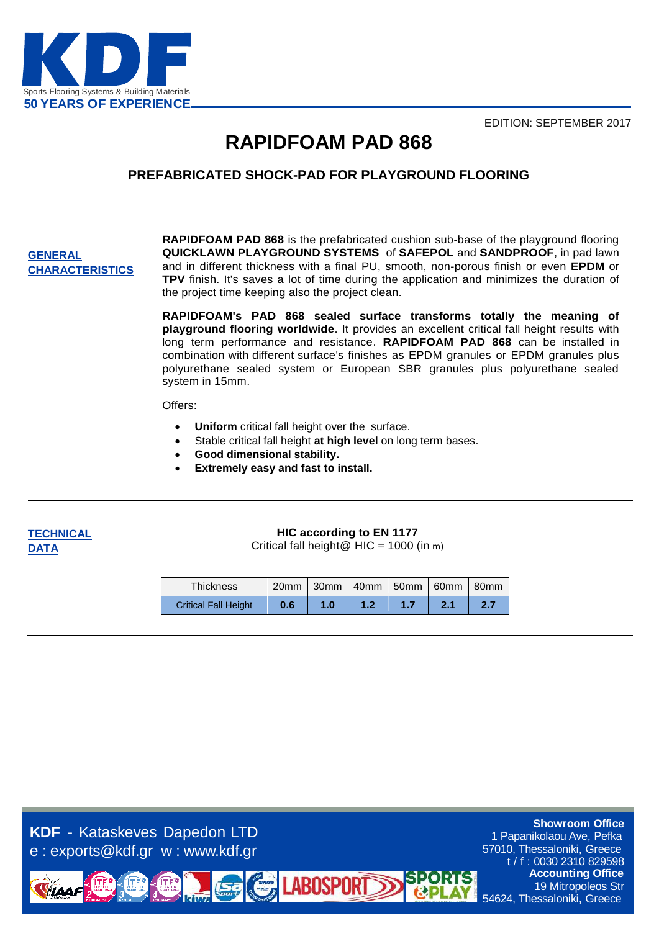EDITION: SEPTEMBER 2017



### **RAPIDFOAM PAD 868**

### **PREFABRICATED SHOCK-PAD FOR PLAYGROUND FLOORING**

#### **GENERAL CHARACTERISTICS**

**RAPIDFOAM PAD 868** is the prefabricated cushion sub-base of the playground flooring **QUICKLAWN PLAYGROUND SYSTEMS** of **SAFEPOL** and **SANDPROOF**, in pad lawn and in different thickness with a final PU, smooth, non-porous finish or even **EPDM** or **TPV** finish. It's saves a lot of time during the application and minimizes the duration of the project time keeping also the project clean.

**RAPIDFOAM's PAD 868 sealed surface transforms totally the meaning of playground flooring worldwide**. It provides an excellent critical fall height results with long term performance and resistance. **RAPIDFOAM PAD 868** can be installed in combination with different surface's finishes as EPDM granules or EPDM granules plus polyurethane sealed system or European SBR granules plus polyurethane sealed system in 15mm.

#### Offers:

- **Uniform** critical fall height over the surface.
- Stable critical fall height **at high level** on long term bases.
- **Good dimensional stability.**
- **Extremely easy and fast to install.**



#### **HIC according to EN 1177**

Critical fall height@  $HIC = 1000$  (in m)

| <b>Thickness</b>            |     | 20mm 30mm 40mm 50mm 60mm 80mm |  |  |
|-----------------------------|-----|-------------------------------|--|--|
| <b>Critical Fall Height</b> | 0.6 | 1.0                           |  |  |

**LABOSPORT** 

**KDF** - Kataskeves Dapedon LTD e : exports@kdf.gr w : www.kdf.gr

1 Papanikolaou Ave, Pefka 57010, Thessaloniki, Greece t / f : 0030 2310 829598 **Accounting Office** 19 Mitropoleos Str 54624, Thessaloniki, Greece

**Showroom Office**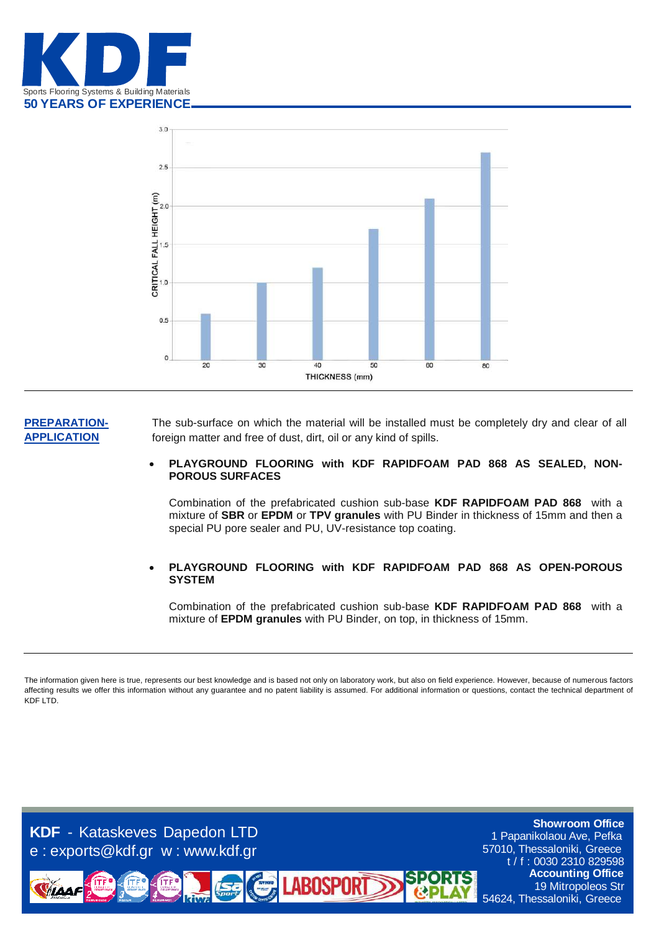



#### **PREPARATION-APPLICATION**

The sub-surface on which the material will be installed must be completely dry and clear of all foreign matter and free of dust, dirt, oil or any kind of spills.

 **PLAYGROUND FLOORING with KDF RAPIDFOAM PAD 868 AS SEALED, NON-POROUS SURFACES**

Combination of the prefabricated cushion sub-base **KDF RAPIDFOAM PAD 868** with a mixture of **SBR** or **EPDM** or **TPV granules** with PU Binder in thickness of 15mm and then a special PU pore sealer and PU, UV-resistance top coating.

 **PLAYGROUND FLOORING with KDF RAPIDFOAM PAD 868 AS OPEN-POROUS SYSTEM**

Combination of the prefabricated cushion sub-base **KDF RAPIDFOAM PAD 868** with a mixture of **EPDM granules** with PU Binder, on top, in thickness of 15mm.

The information given here is true, represents our best knowledge and is based not only on laboratory work, but also on field experience. However, because of numerous factors affecting results we offer this information without any guarantee and no patent liability is assumed. For additional information or questions, contact the technical department of KDF LTD.

**LABOSPORT** 

**KDF** - Kataskeves Dapedon LTD e : exports@kdf.gr w : www.kdf.gr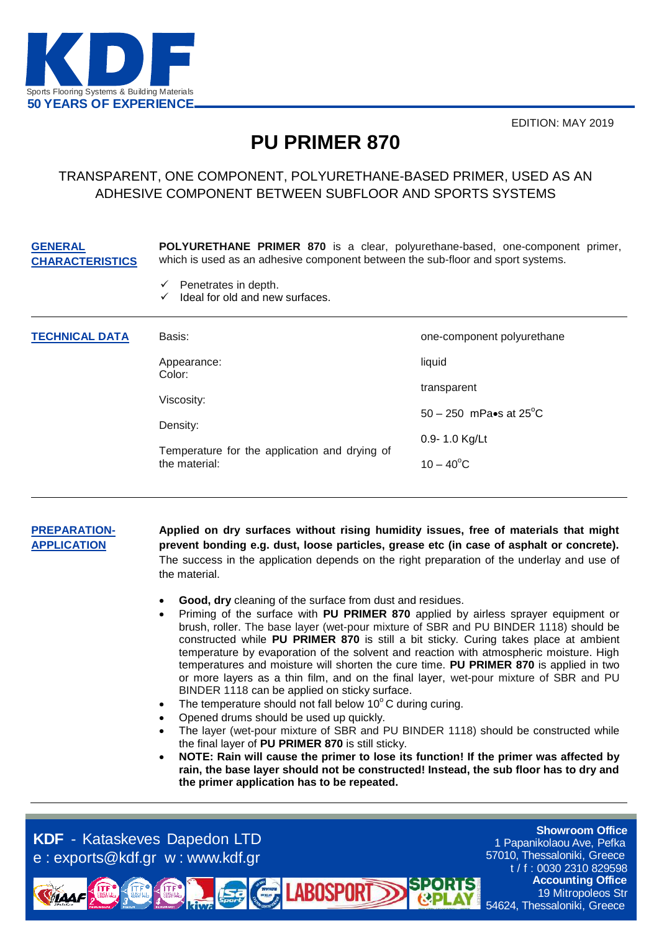

EDITION: MAY 2019

## **PU PRIMER 870**

### TRANSPARENT, ONE COMPONENT, POLYURETHANE-BASED PRIMER, USED AS AN ADHESIVE COMPONENT BETWEEN SUBFLOOR AND SPORTS SYSTEMS

#### **CHARACTERISTICS POLYURETHANE PRIMER 870** is a clear, polyurethane-based, one-component primer, which is used as an adhesive component between the sub-floor and sport systems.

- $\checkmark$  Penetrates in depth.
- $\checkmark$  Ideal for old and new surfaces.

| <b>TECHNICAL DATA</b> | Basis:                                                         | one-component polyurethane       |
|-----------------------|----------------------------------------------------------------|----------------------------------|
|                       | Appearance:<br>Color:                                          | liquid                           |
|                       | Viscosity:                                                     | transparent                      |
|                       | Density:                                                       | 50 – 250 mPa•s at $25^{\circ}$ C |
|                       | Temperature for the application and drying of<br>the material: | 0.9-1.0 Kg/Lt                    |
|                       |                                                                | $10 - 40^{\circ}$ C              |

#### **PREPARATION-APPLICATION**

**GENERAL** 

**Applied on dry surfaces without rising humidity issues, free of materials that might prevent bonding e.g. dust, loose particles, grease etc (in case of asphalt or concrete).**  The success in the application depends on the right preparation of the underlay and use of the material.

- **Good, dry** cleaning of the surface from dust and residues.
- Priming of the surface with **PU PRIMER 870** applied by airless sprayer equipment or brush, roller. The base layer (wet-pour mixture of SBR and PU BINDER 1118) should be constructed while **PU PRIMER 870** is still a bit sticky. Curing takes place at ambient temperature by evaporation of the solvent and reaction with atmospheric moisture. High temperatures and moisture will shorten the cure time. **PU PRIMER 870** is applied in two or more layers as a thin film, and on the final layer, wet-pour mixture of SBR and PU BINDER 1118 can be applied on sticky surface.
- The temperature should not fall below  $10^{\circ}$ C during curing.

**LABOSPOR** 

- Opened drums should be used up quickly.
- The layer (wet-pour mixture of SBR and PU BINDER 1118) should be constructed while the final layer of **PU PRIMER 870** is still sticky.
- **NOTE: Rain will cause the primer to lose its function! If the primer was affected by rain, the base layer should not be constructed! Instead, the sub floor has to dry and the primer application has to be repeated.**

**KDF** - Kataskeves Dapedon LTD e : exports@kdf.gr w : www.kdf.gr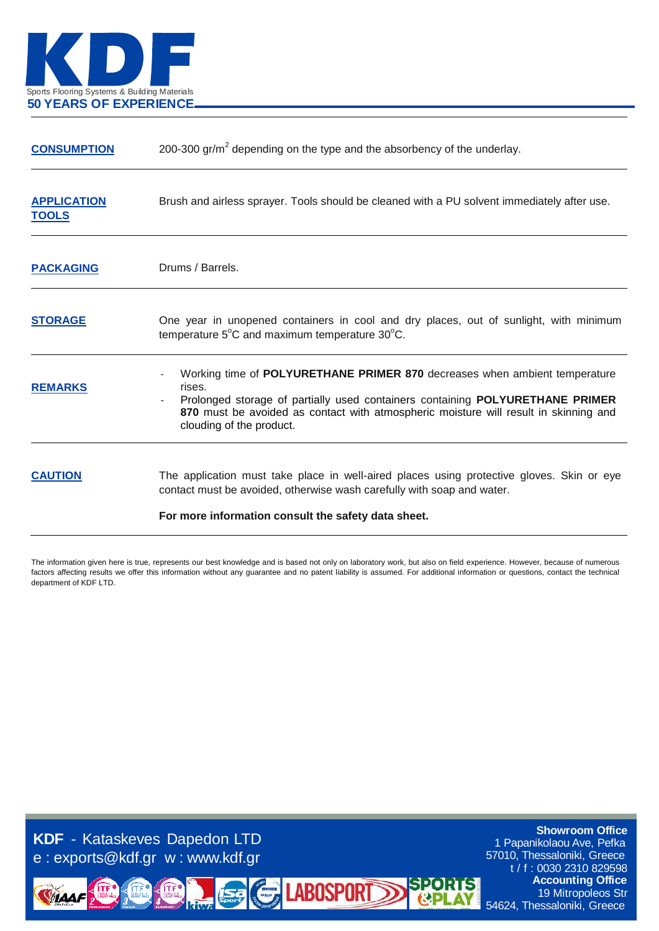

| 200-300 gr/ $m2$ depending on the type and the absorbency of the underlay.                                                                                                                                                                                                                |
|-------------------------------------------------------------------------------------------------------------------------------------------------------------------------------------------------------------------------------------------------------------------------------------------|
| Brush and airless sprayer. Tools should be cleaned with a PU solvent immediately after use.                                                                                                                                                                                               |
| Drums / Barrels.                                                                                                                                                                                                                                                                          |
| One year in unopened containers in cool and dry places, out of sunlight, with minimum<br>temperature 5°C and maximum temperature 30°C.                                                                                                                                                    |
| Working time of POLYURETHANE PRIMER 870 decreases when ambient temperature<br>rises.<br>Prolonged storage of partially used containers containing POLYURETHANE PRIMER<br>870 must be avoided as contact with atmospheric moisture will result in skinning and<br>clouding of the product. |
| The application must take place in well-aired places using protective gloves. Skin or eye<br>contact must be avoided, otherwise wash carefully with soap and water.<br>For more information consult the safety data sheet.                                                                |
|                                                                                                                                                                                                                                                                                           |

The information given here is true, represents our best knowledge and is based not only on laboratory work, but also on field experience. However, because of numerous factors affecting results we offer this information without any guarantee and no patent liability is assumed. For additional information or questions, contact the technical department of KDF LTD.

**LABOSPORT** 

**KDF** - Kataskeves Dapedon LTD e : exports@kdf.gr w : www.kdf.gr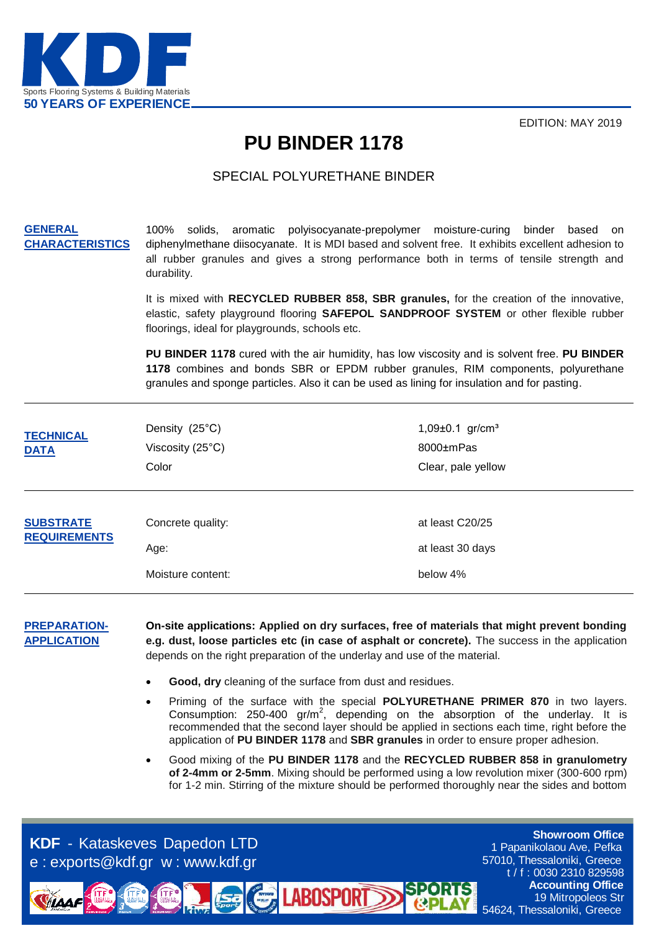

EDITION: MAY 2019

### **PU BINDER 1178**

### SPECIAL POLYURETHANE BINDER

#### **GENERAL CHARACTERISTICS**

100% solids, aromatic polyisocyanate-prepolymer moisture-curing binder based on diphenylmethane diisocyanate. It is MDI based and solvent free. It exhibits excellent adhesion to all rubber granules and gives a strong performance both in terms of tensile strength and durability.

It is mixed with **RECYCLED RUBBER 858, SBR granules,** for the creation of the innovative, elastic, safety playground flooring **SAFEPOL SANDPROOF SYSTEM** or other flexible rubber floorings, ideal for playgrounds, schools etc.

**PU BINDER 1178** cured with the air humidity, has low viscosity and is solvent free. **PU BINDER 1178** combines and bonds SBR or EPDM rubber granules, RIM components, polyurethane granules and sponge particles. Also it can be used as lining for insulation and for pasting.

| <b>TECHNICAL</b><br><b>DATA</b>         | Density (25°C)<br>Viscosity (25°C)<br>Color    | 1,09 $\pm$ 0.1 gr/cm <sup>3</sup><br>8000±mPas<br>Clear, pale yellow |
|-----------------------------------------|------------------------------------------------|----------------------------------------------------------------------|
| <b>SUBSTRATE</b><br><b>REQUIREMENTS</b> | Concrete quality:<br>Age:<br>Moisture content: | at least C20/25<br>at least 30 days<br>below 4%                      |

**PREPARATION-APPLICATION**

**On-site applications: Applied on dry surfaces, free of materials that might prevent bonding e.g. dust, loose particles etc (in case of asphalt or concrete).** The success in the application depends on the right preparation of the underlay and use of the material.

**Good, dry** cleaning of the surface from dust and residues.

**LABOSPORT** 

- Priming of the surface with the special **POLYURETHANE PRIMER 870** in two layers. Consumption: 250-400  $gr/m^2$ , depending on the absorption of the underlay. It is recommended that the second layer should be applied in sections each time, right before the application of **PU BINDER 1178** and **SBR granules** in order to ensure proper adhesion.
- Good mixing of the **PU BINDER 1178** and the **RECYCLED RUBBER 858 in granulometry of 2-4mm or 2-5mm**. Mixing should be performed using a low revolution mixer (300-600 rpm) for 1-2 min. Stirring of the mixture should be performed thoroughly near the sides and bottom

**KDF** - Kataskeves Dapedon LTD e : exports@kdf.gr w : www.kdf.gr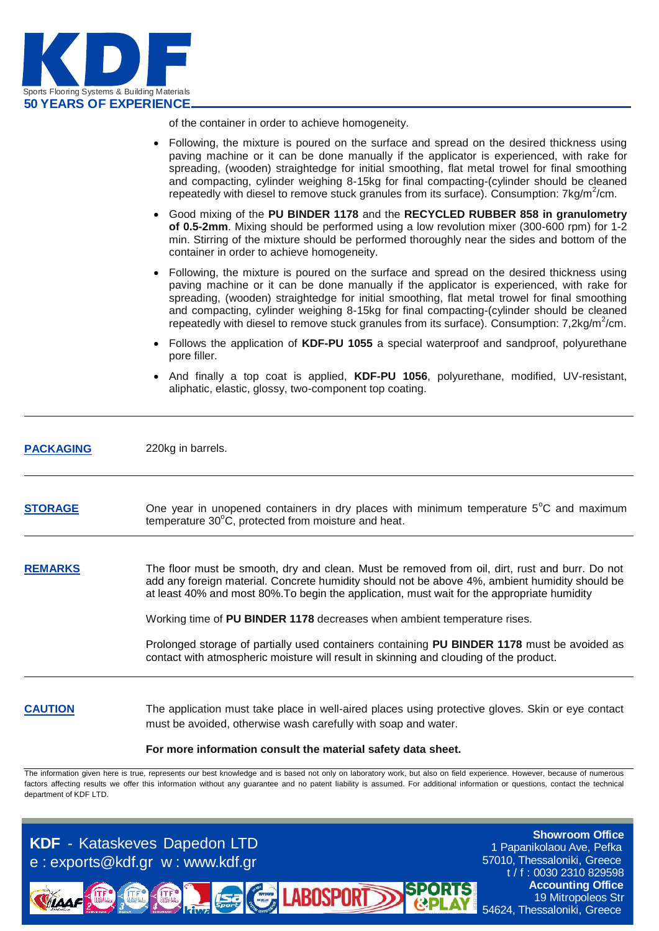

of the container in order to achieve homogeneity.

|                  | • Following, the mixture is poured on the surface and spread on the desired thickness using<br>paving machine or it can be done manually if the applicator is experienced, with rake for<br>spreading, (wooden) straightedge for initial smoothing, flat metal trowel for final smoothing<br>and compacting, cylinder weighing 8-15kg for final compacting-(cylinder should be cleaned<br>repeatedly with diesel to remove stuck granules from its surface). Consumption: 7kg/m <sup>2</sup> /cm. |
|------------------|---------------------------------------------------------------------------------------------------------------------------------------------------------------------------------------------------------------------------------------------------------------------------------------------------------------------------------------------------------------------------------------------------------------------------------------------------------------------------------------------------|
|                  | Good mixing of the PU BINDER 1178 and the RECYCLED RUBBER 858 in granulometry<br>of 0.5-2mm. Mixing should be performed using a low revolution mixer (300-600 rpm) for 1-2<br>min. Stirring of the mixture should be performed thoroughly near the sides and bottom of the<br>container in order to achieve homogeneity.                                                                                                                                                                          |
|                  | Following, the mixture is poured on the surface and spread on the desired thickness using<br>paving machine or it can be done manually if the applicator is experienced, with rake for<br>spreading, (wooden) straightedge for initial smoothing, flat metal trowel for final smoothing<br>and compacting, cylinder weighing 8-15kg for final compacting-(cylinder should be cleaned<br>repeatedly with diesel to remove stuck granules from its surface). Consumption: 7,2kg/m <sup>2</sup> /cm. |
|                  | Follows the application of KDF-PU 1055 a special waterproof and sandproof, polyurethane<br>pore filler.                                                                                                                                                                                                                                                                                                                                                                                           |
|                  | • And finally a top coat is applied, KDF-PU 1056, polyurethane, modified, UV-resistant,<br>aliphatic, elastic, glossy, two-component top coating.                                                                                                                                                                                                                                                                                                                                                 |
| <b>PACKAGING</b> | 220kg in barrels.                                                                                                                                                                                                                                                                                                                                                                                                                                                                                 |
| <b>STORAGE</b>   | One year in unopened containers in dry places with minimum temperature 5°C and maximum<br>temperature 30°C, protected from moisture and heat.                                                                                                                                                                                                                                                                                                                                                     |
| <b>REMARKS</b>   | The floor must be smooth, dry and clean. Must be removed from oil, dirt, rust and burr. Do not<br>add any foreign material. Concrete humidity should not be above 4%, ambient humidity should be<br>at least 40% and most 80%. To begin the application, must wait for the appropriate humidity                                                                                                                                                                                                   |
|                  | Working time of PU BINDER 1178 decreases when ambient temperature rises.                                                                                                                                                                                                                                                                                                                                                                                                                          |
|                  | Prolonged storage of partially used containers containing PU BINDER 1178 must be avoided as<br>contact with atmospheric moisture will result in skinning and clouding of the product.                                                                                                                                                                                                                                                                                                             |
| <b>CAUTION</b>   | The application must take place in well-aired places using protective gloves. Skin or eye contact<br>must be avoided, otherwise wash carefully with soap and water.                                                                                                                                                                                                                                                                                                                               |
|                  | For more information consult the material safety data sheet.                                                                                                                                                                                                                                                                                                                                                                                                                                      |

The information given here is true, represents our best knowledge and is based not only on laboratory work, but also on field experience. However, because of numerous factors affecting results we offer this information without any guarantee and no patent liability is assumed. For additional information or questions, contact the technical department of KDF LTD.

**SPOR** 

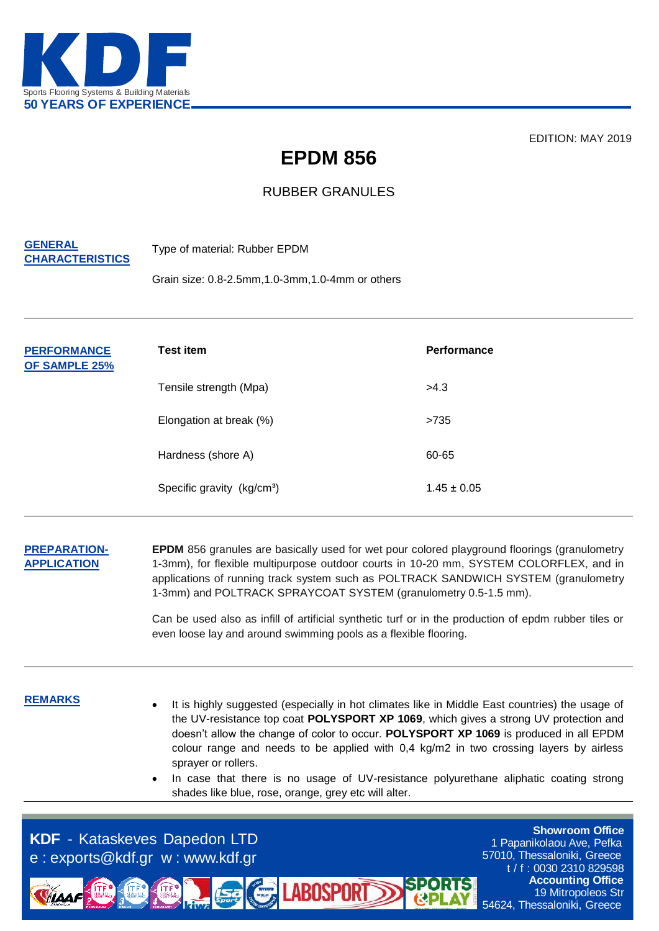

EDITION: MAY 2019

# **EPDM 856**

### RUBBER GRANULES

#### **GENERAL CHARACTERISTICS**

Type of material: Rubber EPDM

Grain size: 0.8-2.5mm,1.0-3mm,1.0-4mm or others

| <b>PERFORMANCE</b><br>OF SAMPLE 25% | <b>Test item</b>                       | Performance     |
|-------------------------------------|----------------------------------------|-----------------|
|                                     | Tensile strength (Mpa)                 | >4.3            |
|                                     | Elongation at break (%)                | >735            |
|                                     | Hardness (shore A)                     | 60-65           |
|                                     | Specific gravity (kg/cm <sup>3</sup> ) | $1.45 \pm 0.05$ |

#### **PREPARATION-APPLICATION**

**EPDM** 856 granules are basically used for wet pour colored playground floorings (granulometry 1-3mm), for flexible multipurpose outdoor courts in 10-20 mm, SYSTEM COLORFLEX, and in applications of running track system such as POLTRACK SANDWICH SYSTEM (granulometry 1-3mm) and POLTRACK SPRAYCOAT SYSTEM (granulometry 0.5-1.5 mm).

Can be used also as infill of artificial synthetic turf or in the production of epdm rubber tiles or even loose lay and around swimming pools as a flexible flooring.

- **REMARKS I** is highly suggested (especially in hot climates like in Middle East countries) the usage of the UV-resistance top coat **POLYSPORT XP 1069**, which gives a strong UV protection and doesn't allow the change of color to occur. **POLYSPORT XP 1069** is produced in all EPDM colour range and needs to be applied with 0,4 kg/m2 in two crossing layers by airless sprayer or rollers.
	- In case that there is no usage of UV-resistance polyurethane aliphatic coating strong shades like blue, rose, orange, grey etc will alter.

**LABOSPOR** 

**KDF** - Kataskeves Dapedon LTD e : exports@kdf.gr w : www.kdf.gr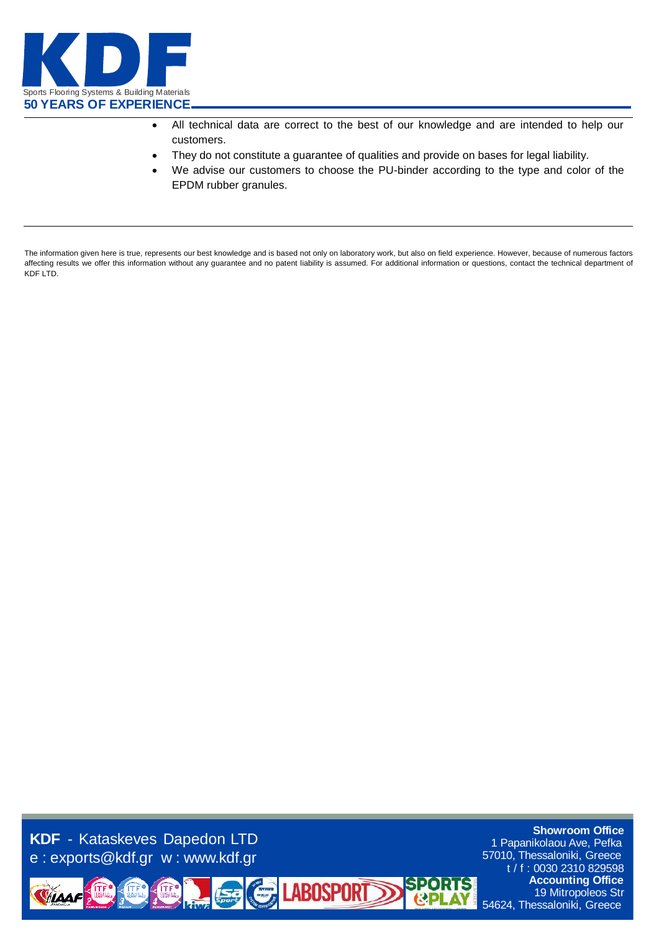

- All technical data are correct to the best of our knowledge and are intended to help our customers.
- They do not constitute a guarantee of qualities and provide on bases for legal liability.
- We advise our customers to choose the PU-binder according to the type and color of the EPDM rubber granules.

The information given here is true, represents our best knowledge and is based not only on laboratory work, but also on field experience. However, because of numerous factors affecting results we offer this information without any guarantee and no patent liability is assumed. For additional information or questions, contact the technical department of KDF LTD.

**LABOSPORT** 

**KDF** - Kataskeves Dapedon LTD e : exports@kdf.gr w : www.kdf.gr

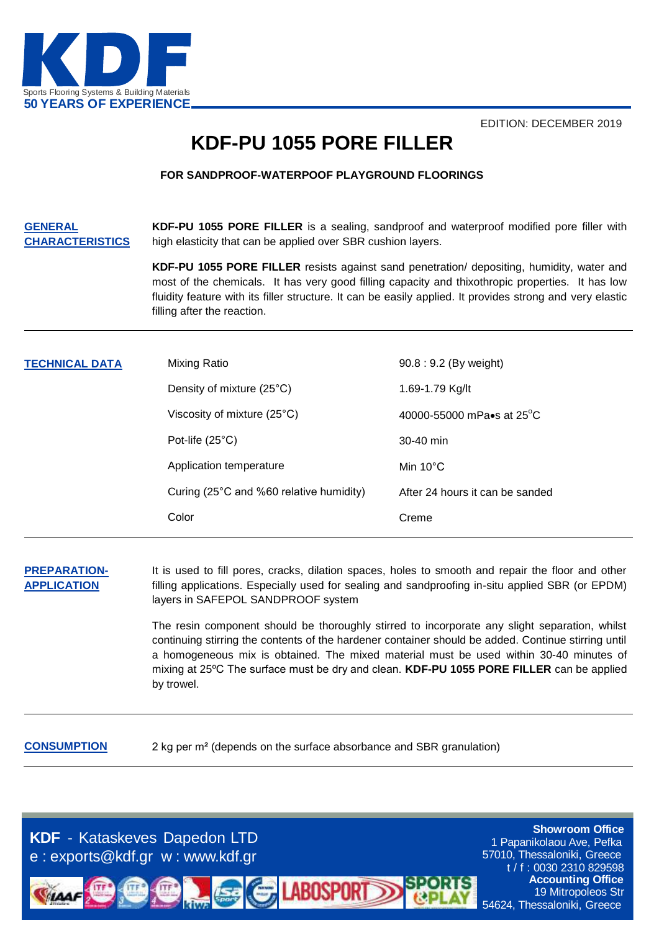

EDITION: DECEMBER 2019

## **KDF-PU 1055 PORE FILLER**

#### **FOR SANDPROOF-WATERPOOF PLAYGROUND FLOORINGS**

**GENERAL CHARACTERISTICS KDF-PU 1055 PORE FILLER** is a sealing, sandproof and waterproof modified pore filler with high elasticity that can be applied over SBR cushion layers.

> **KDF-PU 1055 PORE FILLER** resists against sand penetration/ depositing, humidity, water and most of the chemicals. It has very good filling capacity and thixothropic properties. It has low fluidity feature with its filler structure. It can be easily applied. It provides strong and very elastic filling after the reaction.

| <b>TECHNICAL DATA</b> | Mixing Ratio                            | 90.8 : 9.2 (By weight)              |
|-----------------------|-----------------------------------------|-------------------------------------|
|                       | Density of mixture (25°C)               | 1.69-1.79 Kg/lt                     |
|                       | Viscosity of mixture (25°C)             | 40000-55000 mPa•s at $25^{\circ}$ C |
|                       | Pot-life $(25^{\circ}C)$                | 30-40 min                           |
|                       | Application temperature                 | Min $10^{\circ}$ C                  |
|                       | Curing (25°C and %60 relative humidity) | After 24 hours it can be sanded     |
|                       | Color                                   | Creme                               |
|                       |                                         |                                     |

**PREPARATION-APPLICATION**

It is used to fill pores, cracks, dilation spaces, holes to smooth and repair the floor and other filling applications. Especially used for sealing and sandproofing in-situ applied SBR (or EPDM) layers in SAFEPOL SANDPROOF system

The resin component should be thoroughly stirred to incorporate any slight separation, whilst continuing stirring the contents of the hardener container should be added. Continue stirring until a homogeneous mix is obtained. The mixed material must be used within 30-40 minutes of mixing at 25ºC The surface must be dry and clean. **KDF-PU 1055 PORE FILLER** can be applied by trowel.

**CONSUMPTION** 2 kg per m<sup>2</sup> (depends on the surface absorbance and SBR granulation)

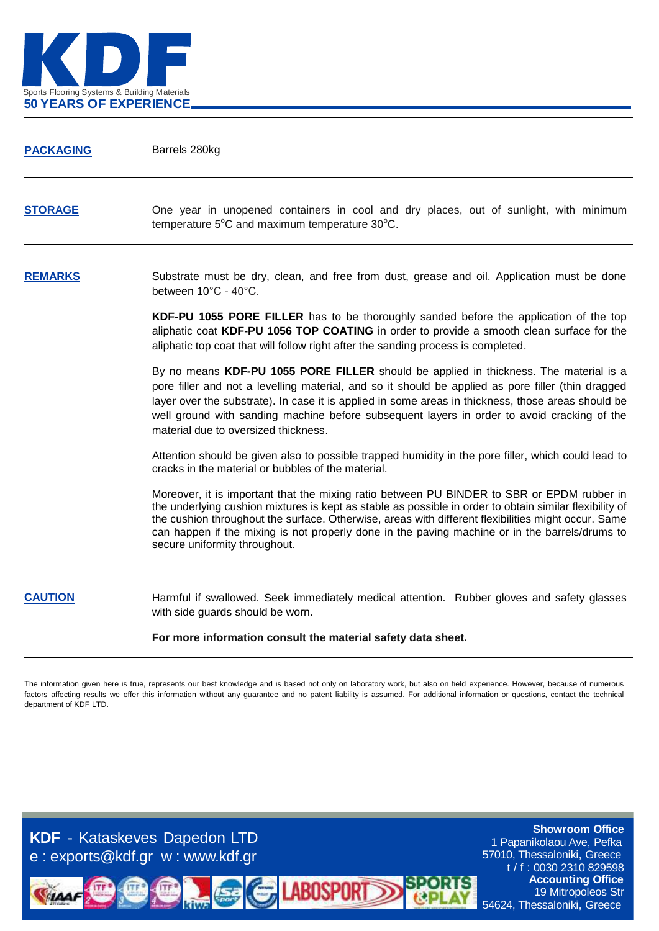

| <b>PACKAGING</b> | Barrels 280kg                                                                                                                                                                                                                                                                                                                                                                                                                                   |
|------------------|-------------------------------------------------------------------------------------------------------------------------------------------------------------------------------------------------------------------------------------------------------------------------------------------------------------------------------------------------------------------------------------------------------------------------------------------------|
| <b>STORAGE</b>   | One year in unopened containers in cool and dry places, out of sunlight, with minimum<br>temperature 5°C and maximum temperature 30°C.                                                                                                                                                                                                                                                                                                          |
| <b>REMARKS</b>   | Substrate must be dry, clean, and free from dust, grease and oil. Application must be done<br>between 10°C - 40°C.                                                                                                                                                                                                                                                                                                                              |
|                  | KDF-PU 1055 PORE FILLER has to be thoroughly sanded before the application of the top<br>aliphatic coat KDF-PU 1056 TOP COATING in order to provide a smooth clean surface for the<br>aliphatic top coat that will follow right after the sanding process is completed.                                                                                                                                                                         |
|                  | By no means KDF-PU 1055 PORE FILLER should be applied in thickness. The material is a<br>pore filler and not a levelling material, and so it should be applied as pore filler (thin dragged<br>layer over the substrate). In case it is applied in some areas in thickness, those areas should be<br>well ground with sanding machine before subsequent layers in order to avoid cracking of the<br>material due to oversized thickness.        |
|                  | Attention should be given also to possible trapped humidity in the pore filler, which could lead to<br>cracks in the material or bubbles of the material.                                                                                                                                                                                                                                                                                       |
|                  | Moreover, it is important that the mixing ratio between PU BINDER to SBR or EPDM rubber in<br>the underlying cushion mixtures is kept as stable as possible in order to obtain similar flexibility of<br>the cushion throughout the surface. Otherwise, areas with different flexibilities might occur. Same<br>can happen if the mixing is not properly done in the paving machine or in the barrels/drums to<br>secure uniformity throughout. |
| <b>CAUTION</b>   | Harmful if swallowed. Seek immediately medical attention. Rubber gloves and safety glasses<br>with side guards should be worn.                                                                                                                                                                                                                                                                                                                  |

**For more information consult the material safety data sheet.**

The information given here is true, represents our best knowledge and is based not only on laboratory work, but also on field experience. However, because of numerous factors affecting results we offer this information without any guarantee and no patent liability is assumed. For additional information or questions, contact the technical department of KDF LTD.

**LABOSPORT** 

**KDF** - Kataskeves Dapedon LTD e : exports@kdf.gr w : www.kdf.gr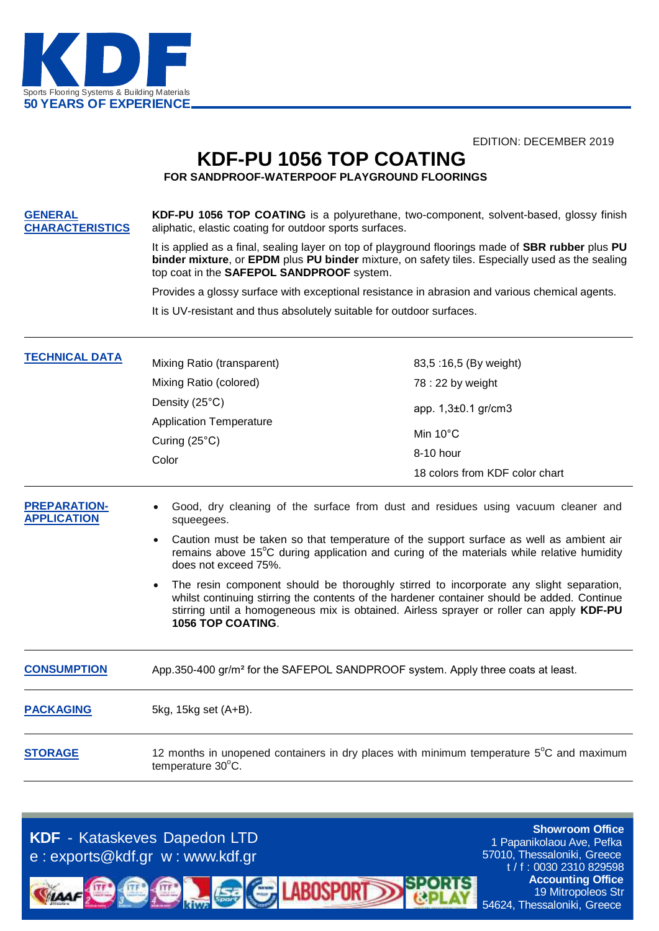

EDITION: DECEMBER 2019

## **KDF-PU 1056 TOP COATING**

**FOR SANDPROOF-WATERPOOF PLAYGROUND FLOORINGS**

**GENERAL CHARACTERISTICS KDF-PU 1056 TOP COATING** is a polyurethane, two-component, solvent-based, glossy finish aliphatic, elastic coating for outdoor sports surfaces.

> It is applied as a final, sealing layer on top of playground floorings made of **SBR rubber** plus **PU binder mixture**, or **EPDM** plus **PU binder** mixture, on safety tiles. Especially used as the sealing top coat in the **SAFEPOL SANDPROOF** system.

Provides a glossy surface with exceptional resistance in abrasion and various chemical agents.

It is UV-resistant and thus absolutely suitable for outdoor surfaces.

| <b>TECHNICAL DATA</b> | Mixing Ratio (transparent)                                        | 83,5:16,5 (By weight)          |
|-----------------------|-------------------------------------------------------------------|--------------------------------|
|                       | Mixing Ratio (colored)                                            | 78 : 22 by weight              |
|                       | Density (25°C)                                                    | app. $1,3\pm0.1$ gr/cm3        |
|                       | <b>Application Temperature</b><br>Curing $(25^{\circ}C)$<br>Color |                                |
|                       |                                                                   | Min $10^{\circ}$ C             |
|                       |                                                                   | 8-10 hour                      |
|                       |                                                                   | 18 colors from KDF color chart |

- **PREPARATION-APPLICATION** Good, dry cleaning of the surface from dust and residues using vacuum cleaner and squeegees.
	- Caution must be taken so that temperature of the support surface as well as ambient air remains above 15<sup>o</sup>C during application and curing of the materials while relative humidity does not exceed 75%.
	- The resin component should be thoroughly stirred to incorporate any slight separation, whilst continuing stirring the contents of the hardener container should be added. Continue stirring until a homogeneous mix is obtained. Airless sprayer or roller can apply **KDF-PU 1056 TOP COATING**.

| <b>CONSUMPTION</b> | App.350-400 gr/m <sup>2</sup> for the SAFEPOL SANDPROOF system. Apply three coats at least.                            |
|--------------------|------------------------------------------------------------------------------------------------------------------------|
| <b>PACKAGING</b>   | 5kg, 15kg set (A+B).                                                                                                   |
| <b>STORAGE</b>     | 12 months in unopened containers in dry places with minimum temperature $5^{\circ}$ C and maximum<br>temperature 30°C. |

**LABOSPORT** 

**KDF** - Kataskeves Dapedon LTD e : exports@kdf.gr w : www.kdf.gr